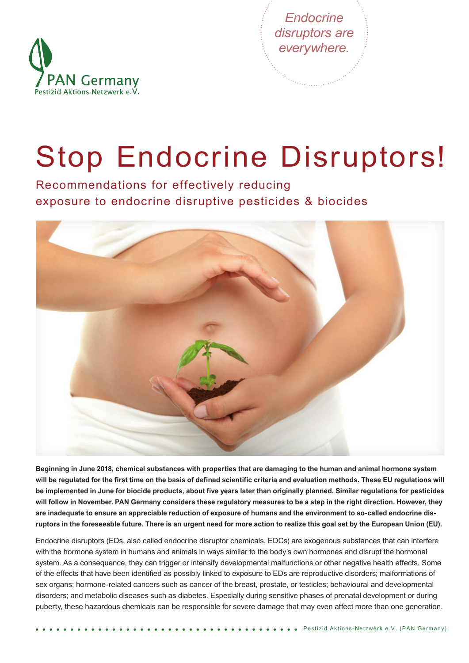



# Stop Endocrine Disruptors!

Recommendations for effectively reducing exposure to endocrine disruptive pesticides & biocides



**Beginning in June 2018, chemical substances with properties that are damaging to the human and animal hormone system will be regulated for the first time on the basis of defined scientific criteria and evaluation methods. These EU regulations will be implemented in June for biocide products, about five years later than originally planned. Similar regulations for pesticides will follow in November. PAN Germany considers these regulatory measures to be a step in the right direction. However, they are inadequate to ensure an appreciable reduction of exposure of humans and the environment to so-called endocrine disruptors in the foreseeable future. There is an urgent need for more action to realize this goal set by the European Union (EU).**

Endocrine disruptors (EDs, also called endocrine disruptor chemicals, EDCs) are exogenous substances that can interfere with the hormone system in humans and animals in ways similar to the body's own hormones and disrupt the hormonal system. As a consequence, they can trigger or intensify developmental malfunctions or other negative health effects. Some of the effects that have been identified as possibly linked to exposure to EDs are reproductive disorders; malformations of sex organs; hormone-related cancers such as cancer of the breast, prostate, or testicles; behavioural and developmental disorders; and metabolic diseases such as diabetes. Especially during sensitive phases of prenatal development or during puberty, these hazardous chemicals can be responsible for severe damage that may even affect more than one generation.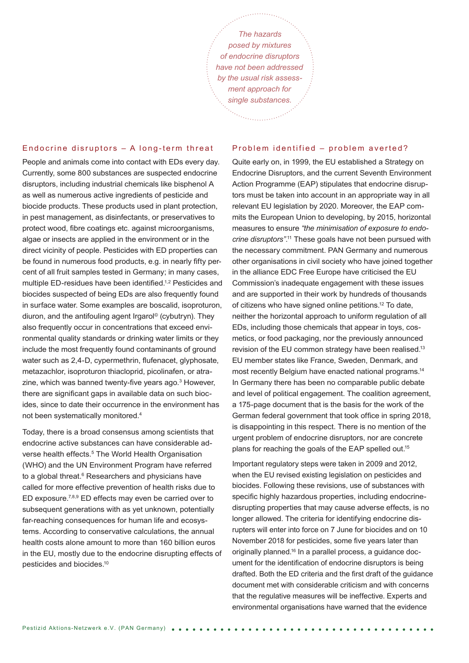*The hazards posed by mixtures of endocrine disruptors have not been addressed by the usual risk assessment approach for single substances.*

.<br>Bernard av September

#### Endocrine disruptors – A long-term threat

People and animals come into contact with EDs every day. Currently, some 800 substances are suspected endocrine disruptors, including industrial chemicals like bisphenol A as well as numerous active ingredients of pesticide and biocide products. These products used in plant protection, in pest management, as disinfectants, or preservatives to protect wood, fibre coatings etc. against microorganisms, algae or insects are applied in the environment or in the direct vicinity of people. Pesticides with ED properties can be found in numerous food products, e.g. in nearly fifty percent of all fruit samples tested in Germany; in many cases, multiple ED-residues have been identified.<sup>1,2</sup> Pesticides and biocides suspected of being EDs are also frequently found in surface water. Some examples are boscalid, isoproturon, diuron, and the antifouling agent Irgarol© (cybutryn). They also frequently occur in concentrations that exceed environmental quality standards or drinking water limits or they include the most frequently found contaminants of ground water such as 2,4-D, cypermethrin, flufenacet, glyphosate, metazachlor, isoproturon thiacloprid, picolinafen, or atrazine, which was banned twenty-five years ago.<sup>3</sup> However, there are significant gaps in available data on such biocides, since to date their occurrence in the environment has not been systematically monitored.4

Today, there is a broad consensus among scientists that endocrine active substances can have considerable adverse health effects.<sup>5</sup> The World Health Organisation (WHO) and the UN Environment Program have referred to a global threat.<sup>6</sup> Researchers and physicians have called for more effective prevention of health risks due to ED exposure.7,8,9 ED effects may even be carried over to subsequent generations with as yet unknown, potentially far-reaching consequences for human life and ecosystems. According to conservative calculations, the annual health costs alone amount to more than 160 billion euros in the EU, mostly due to the endocrine disrupting effects of pesticides and biocides.10

### Problem identified – problem averted?

Quite early on, in 1999, the EU established a Strategy on Endocrine Disruptors, and the current Seventh Environment Action Programme (EAP) stipulates that endocrine disruptors must be taken into account in an appropriate way in all relevant EU legislation by 2020. Moreover, the EAP commits the European Union to developing, by 2015, horizontal measures to ensure *"the minimisation of exposure to endocrine disruptors"*. 11 These goals have not been pursued with the necessary commitment. PAN Germany and numerous other organisations in civil society who have joined together in the alliance EDC Free Europe have criticised the EU Commission's inadequate engagement with these issues and are supported in their work by hundreds of thousands of citizens who have signed online petitions.12 To date, neither the horizontal approach to uniform regulation of all EDs, including those chemicals that appear in toys, cosmetics, or food packaging, nor the previously announced revision of the EU common strategy have been realised.<sup>13</sup> EU member states like France, Sweden, Denmark, and most recently Belgium have enacted national programs.14 In Germany there has been no comparable public debate and level of political engagement. The coalition agreement, a 175-page document that is the basis for the work of the German federal government that took office in spring 2018, is disappointing in this respect. There is no mention of the urgent problem of endocrine disruptors, nor are concrete plans for reaching the goals of the EAP spelled out.15

Important regulatory steps were taken in 2009 and 2012, when the EU revised existing legislation on pesticides and biocides. Following these revisions, use of substances with specific highly hazardous properties, including endocrinedisrupting properties that may cause adverse effects, is no longer allowed. The criteria for identifying endocrine disrupters will enter into force on 7 June for biocides and on 10 November 2018 for pesticides, some five years later than originally planned.16 In a parallel process, a guidance document for the identification of endocrine disruptors is being drafted. Both the ED criteria and the first draft of the guidance document met with considerable criticism and with concerns that the regulative measures will be ineffective. Experts and environmental organisations have warned that the evidence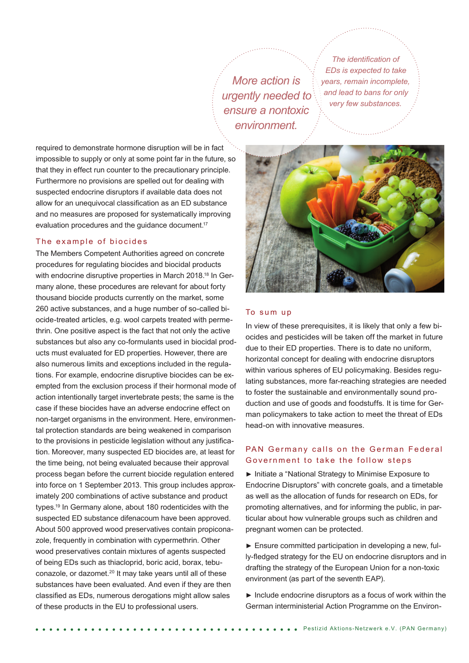*More action is urgently needed to ensure a nontoxic environment.*

*The identification of EDs is expected to take years, remain incomplete, and lead to bans for only very few substances.*

required to demonstrate hormone disruption will be in fact impossible to supply or only at some point far in the future, so that they in effect run counter to the precautionary principle. Furthermore no provisions are spelled out for dealing with suspected endocrine disruptors if available data does not allow for an unequivocal classification as an ED substance and no measures are proposed for systematically improving evaluation procedures and the quidance document.<sup>17</sup>

## The example of biocides

The Members Competent Authorities agreed on concrete procedures for regulating biocides and biocidal products with endocrine disruptive properties in March 2018.<sup>18</sup> In Germany alone, these procedures are relevant for about forty thousand biocide products currently on the market, some 260 active substances, and a huge number of so-called biocide-treated articles, e.g. wool carpets treated with permethrin. One positive aspect is the fact that not only the active substances but also any co-formulants used in biocidal products must evaluated for ED properties. However, there are also numerous limits and exceptions included in the regulations. For example, endocrine disruptive biocides can be exempted from the exclusion process if their hormonal mode of action intentionally target invertebrate pests; the same is the case if these biocides have an adverse endocrine effect on non-target organisms in the environment. Here, environmental protection standards are being weakened in comparison to the provisions in pesticide legislation without any justification. Moreover, many suspected ED biocides are, at least for the time being, not being evaluated because their approval process began before the current biocide regulation entered into force on 1 September 2013. This group includes approximately 200 combinations of active substance and product types.19 In Germany alone, about 180 rodenticides with the suspected ED substance difenacoum have been approved. About 500 approved wood preservatives contain propiconazole, frequently in combination with cypermethrin. Other wood preservatives contain mixtures of agents suspected of being EDs such as thiacloprid, boric acid, borax, tebuconazole, or dazomet.<sup>20</sup> It may take years until all of these substances have been evaluated. And even if they are then classified as EDs, numerous derogations might allow sales of these products in the EU to professional users.



## To sum up

In view of these prerequisites, it is likely that only a few biocides and pesticides will be taken off the market in future due to their ED properties. There is to date no uniform, horizontal concept for dealing with endocrine disruptors within various spheres of EU policymaking. Besides regulating substances, more far-reaching strategies are needed to foster the sustainable and environmentally sound production and use of goods and foodstuffs. It is time for German policymakers to take action to meet the threat of EDs head-on with innovative measures.

## PAN Germany calls on the German Federal Government to take the follow steps

► Initiate a "National Strategy to Minimise Exposure to Endocrine Disruptors" with concrete goals, and a timetable as well as the allocation of funds for research on EDs, for promoting alternatives, and for informing the public, in particular about how vulnerable groups such as children and pregnant women can be protected.

► Ensure committed participation in developing a new, fully-fledged strategy for the EU on endocrine disruptors and in drafting the strategy of the European Union for a non-toxic environment (as part of the seventh EAP).

► Include endocrine disruptors as a focus of work within the German interministerial Action Programme on the Environ